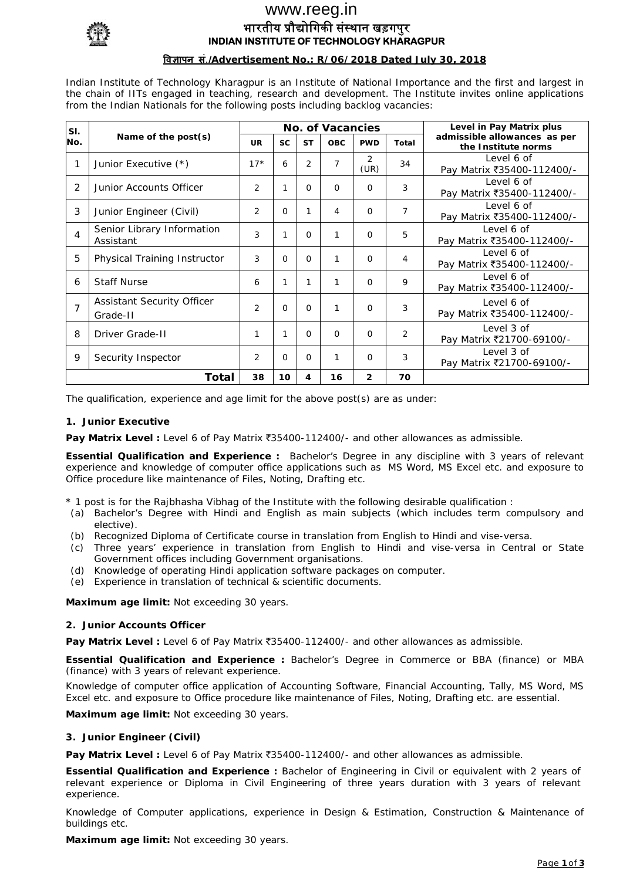

## भारतीय प्रौद्योगिकी संस्थान खड़गपुर **INDIAN INSTITUTE OF TECHNOLOGY KHARAGPUR**  www.reeg.in

## **िवज्ञापन सं**.**/Advertisement No.: R/06/2018 Dated July 30, 2018**

Indian Institute of Technology Kharagpur is an Institute of National Importance and the first and largest in the chain of IITs engaged in teaching, research and development. The Institute invites online applications from the Indian Nationals for the following posts including backlog vacancies:

| SI.            | Name of the $post(s)$                   | <b>No. of Vacancies</b> |           |                |            |                |                | Level in Pay Matrix plus                            |
|----------------|-----------------------------------------|-------------------------|-----------|----------------|------------|----------------|----------------|-----------------------------------------------------|
| No.            |                                         | <b>UR</b>               | <b>SC</b> | <b>ST</b>      | <b>OBC</b> | <b>PWD</b>     | Total          | admissible allowances as per<br>the Institute norms |
|                | Junior Executive (*)                    | $17*$                   | 6         | $\overline{2}$ | 7          | 2<br>(UR)      | 34             | Level 6 of<br>Pay Matrix ₹35400-112400/-            |
| 2              | Junior Accounts Officer                 | 2                       |           | $\Omega$       | $\Omega$   | $\Omega$       | 3              | Level 6 of<br>Pay Matrix ₹35400-112400/-            |
| 3              | Junior Engineer (Civil)                 | 2                       | $\Omega$  |                | 4          | $\Omega$       | $\overline{7}$ | Level 6 of<br>Pay Matrix ₹35400-112400/-            |
| 4              | Senior Library Information<br>Assistant | 3                       |           | $\Omega$       | 1          | $\Omega$       | 5              | Level 6 of<br>Pay Matrix ₹35400-112400/-            |
| 5              | Physical Training Instructor            | 3                       | $\Omega$  | $\Omega$       | 1          | $\Omega$       | 4              | Level 6 of<br>Pay Matrix ₹35400-112400/-            |
| 6              | <b>Staff Nurse</b>                      | 6                       |           |                | 1          | $\Omega$       | 9              | Level 6 of<br>Pay Matrix ₹35400-112400/-            |
| $\overline{7}$ | Assistant Security Officer<br>Grade-II  | $\overline{2}$          | $\Omega$  | $\Omega$       | 1          | $\Omega$       | 3              | Level 6 of<br>Pay Matrix ₹35400-112400/-            |
| 8              | Driver Grade-II                         | 1                       |           | $\Omega$       | $\Omega$   | $\Omega$       | 2              | Level 3 of<br>Pay Matrix ₹21700-69100/-             |
| 9              | Security Inspector                      | 2                       | 0         | $\Omega$       | 1          | $\Omega$       | 3              | Level 3 of<br>Pay Matrix ₹21700-69100/-             |
| Total          |                                         |                         | 10        | 4              | 16         | $\overline{2}$ | 70             |                                                     |

The qualification, experience and age limit for the above post(s) are as under:

#### **1. Junior Executive**

Pay Matrix Level : Level 6 of Pay Matrix ₹35400-112400/- and other allowances as admissible.

**Essential Qualification and Experience :** Bachelor's Degree in any discipline with 3 years of relevant experience and knowledge of computer office applications such as MS Word, MS Excel etc. and exposure to Office procedure like maintenance of Files, Noting, Drafting etc.

\* 1 post is for the Rajbhasha Vibhag of the Institute with the following desirable qualification :

- (a) Bachelor's Degree with Hindi and English as main subjects (which includes term compulsory and elective).
- (b) Recognized Diploma of Certificate course in translation from English to Hindi and vise-versa.
- (c) Three years' experience in translation from English to Hindi and vise-versa in Central or State Government offices including Government organisations.
- (d) Knowledge of operating Hindi application software packages on computer.
- (e) Experience in translation of technical & scientific documents.

**Maximum age limit:** Not exceeding 30 years.

#### **2. Junior Accounts Officer**

**Pay Matrix Level :** Level 6 of Pay Matrix ₹35400-112400/- and other allowances as admissible.

**Essential Qualification and Experience :** Bachelor's Degree in Commerce or BBA (finance) or MBA (finance) with 3 years of relevant experience.

Knowledge of computer office application of Accounting Software, Financial Accounting, Tally, MS Word, MS Excel etc. and exposure to Office procedure like maintenance of Files, Noting, Drafting etc. are essential.

**Maximum age limit:** Not exceeding 30 years.

#### **3. Junior Engineer (Civil)**

Pay Matrix Level : Level 6 of Pay Matrix ₹35400-112400/- and other allowances as admissible.

**Essential Qualification and Experience :** Bachelor of Engineering in Civil or equivalent with 2 years of relevant experience or Diploma in Civil Engineering of three years duration with 3 years of relevant experience.

Knowledge of Computer applications, experience in Design & Estimation, Construction & Maintenance of buildings etc.

**Maximum age limit:** Not exceeding 30 years.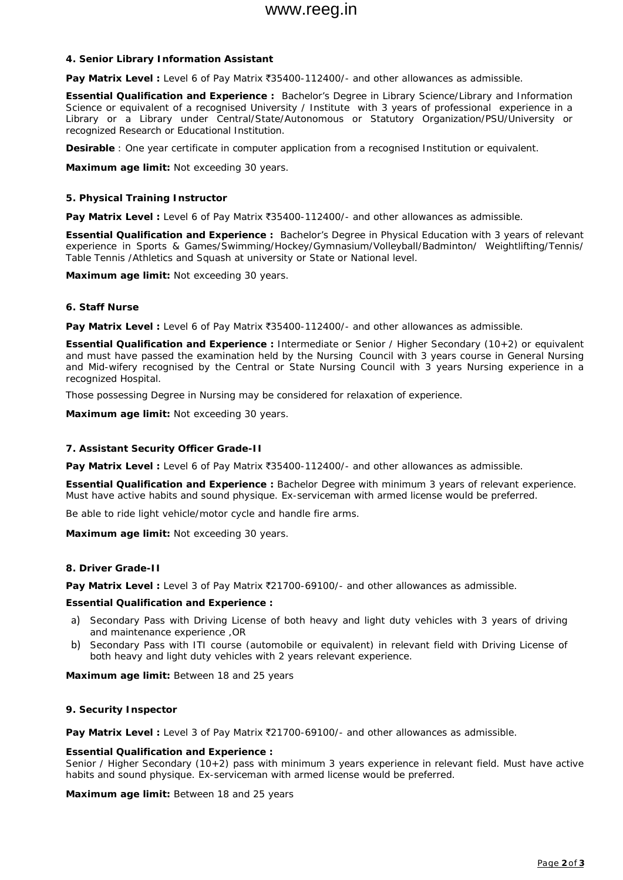### **4. Senior Library Information Assistant**

Pay Matrix Level : Level 6 of Pay Matrix ₹35400-112400/- and other allowances as admissible.

**Essential Qualification and Experience :** Bachelor's Degree in Library Science/Library and Information Science or equivalent of a recognised University / Institute with 3 years of professional experience in a Library or a Library under Central/State/Autonomous or Statutory Organization/PSU/University or recognized Research or Educational Institution.

**Desirable** : One year certificate in computer application from a recognised Institution or equivalent.

**Maximum age limit:** Not exceeding 30 years.

### **5. Physical Training Instructor**

Pay Matrix Level : Level 6 of Pay Matrix ₹35400-112400/- and other allowances as admissible.

**Essential Qualification and Experience :** Bachelor's Degree in Physical Education with 3 years of relevant experience in Sports & Games/Swimming/Hockey/Gymnasium/Volleyball/Badminton/ Weightlifting/Tennis/ Table Tennis /Athletics and Squash at university or State or National level.

**Maximum age limit:** Not exceeding 30 years.

#### **6. Staff Nurse**

Pay Matrix Level : Level 6 of Pay Matrix ₹35400-112400/- and other allowances as admissible.

**Essential Qualification and Experience :** Intermediate or Senior / Higher Secondary (10+2) or equivalent and must have passed the examination held by the Nursing Council with 3 years course in General Nursing and Mid-wifery recognised by the Central or State Nursing Council with 3 years Nursing experience in a recognized Hospital.

Those possessing Degree in Nursing may be considered for relaxation of experience.

**Maximum age limit:** Not exceeding 30 years.

#### **7. Assistant Security Officer Grade-II**

Pay Matrix Level : Level 6 of Pay Matrix ₹35400-112400/- and other allowances as admissible.

**Essential Qualification and Experience :** Bachelor Degree with minimum 3 years of relevant experience. Must have active habits and sound physique. Ex-serviceman with armed license would be preferred.

Be able to ride light vehicle/motor cycle and handle fire arms.

**Maximum age limit:** Not exceeding 30 years.

#### **8. Driver Grade-II**

Pay Matrix Level : Level 3 of Pay Matrix ₹21700-69100/- and other allowances as admissible.

#### **Essential Qualification and Experience :**

- a) Secondary Pass with Driving License of both heavy and light duty vehicles with 3 years of driving and maintenance experience ,OR
- b) Secondary Pass with ITI course (automobile or equivalent) in relevant field with Driving License of both heavy and light duty vehicles with 2 years relevant experience.

**Maximum age limit:** Between 18 and 25 years

#### **9. Security Inspector**

Pay Matrix Level : Level 3 of Pay Matrix  $\bar{z}$ 21700-69100/- and other allowances as admissible.

#### **Essential Qualification and Experience :**

Senior / Higher Secondary (10+2) pass with minimum 3 years experience in relevant field. Must have active habits and sound physique. Ex-serviceman with armed license would be preferred.

**Maximum age limit:** Between 18 and 25 years